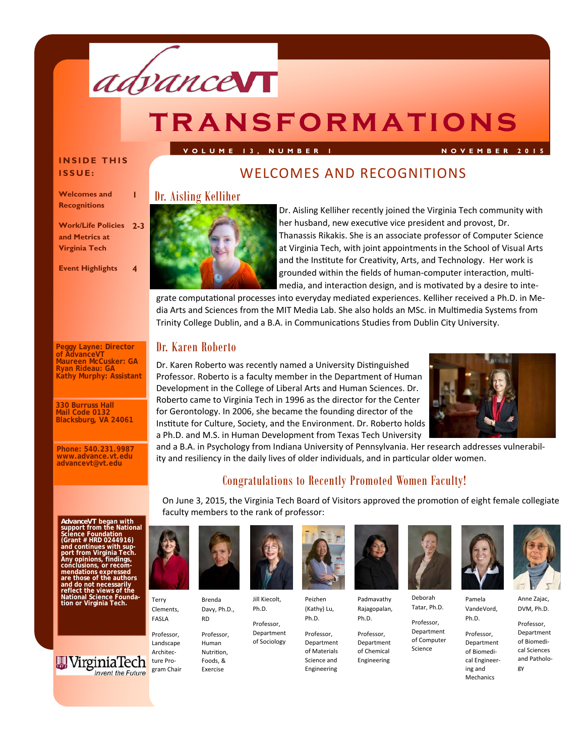

# **transformations**

#### **INSIDE THIS ISSUE:**

**Work/Life Policies 2-3** 

**Event Highlights 4** 

**Peggy Layne: Director of AdvanceVT** 

**Maureen McCusker: GA Ryan Rideau: GA Kathy Murphy: Assistant**

**330 Burruss Hall Mail Code 013 Blacksburg, VA 24061** 

**Phone: 540.231.9987 www.advance.vt.edu advancevt@vt.edu** 

**1** 

**Welcomes and Recognitions** 

**and Metrics at Virginia Tech** 

WELCOMES AND RECOGNITIONS

**VOLUME 13, NUMBER 1 NOVEMBER 2015** 

#### Dr. Aisling Kelliher



Dr. Aisling Kelliher recently joined the Virginia Tech community with her husband, new executive vice president and provost, Dr. Thanassis Rikakis. She is an associate professor of Computer Science at Virginia Tech, with joint appointments in the School of Visual Arts and the Institute for Creativity, Arts, and Technology. Her work is grounded within the fields of human-computer interaction, multimedia, and interaction design, and is motivated by a desire to inte-

grate computational processes into everyday mediated experiences. Kelliher received a Ph.D. in Media Arts and Sciences from the MIT Media Lab. She also holds an MSc. in Multimedia Systems from Trinity College Dublin, and a B.A. in Communications Studies from Dublin City University.

### Dr. Karen Roberto

Dr. Karen Roberto was recently named a University Distinguished Professor. Roberto is a faculty member in the Department of Human Development in the College of Liberal Arts and Human Sciences. Dr. Roberto came to Virginia Tech in 1996 as the director for the Center for Gerontology. In 2006, she became the founding director of the Institute for Culture, Society, and the Environment. Dr. Roberto holds a Ph.D. and M.S. in Human Development from Texas Tech University



and a B.A. in Psychology from Indiana University of Pennsylvania. Her research addresses vulnerability and resiliency in the daily lives of older individuals, and in particular older women.

### Congratulations to Recently Promoted Women Faculty!

On June 3, 2015, the Virginia Tech Board of Visitors approved the promotion of eight female collegiate faculty members to the rank of professor:

*AdvanceVT* began with<br>support from the National<br>Science Foundation **(Grant # HRD 0244916) and continues with support from Virginia Tech. Any opinions, findings, conclusions, or recom-mendations expressed are those of the authors and do not necessarily reflect the views of the National Science Foundation or Virginia Tech.** 





Professor, Landscape Architecture Program Chair

Terry

FASLA



Davy, Ph.D., Jill Kiecolt, Ph.D.

> Professor, Department of Sociology

RD Professor, Human Nutrition, Foods, &

Exercise



Peizhen

Science and Engineering



Padmavathy Rajagopalan, Ph.D.

Professor, Department of Chemical Engineering



Deborah Tatar, Ph.D.

Professor, Department of Computer



Science

Pamela VandeVord,

> Professor, Department of Biomedical Engineering and

Mechanics



DVM, Ph.D. Professor,

Department of Biomedical Sciences and Pathology

Ph.D.

Professor, Department of Materials

(Kathy) Lu,

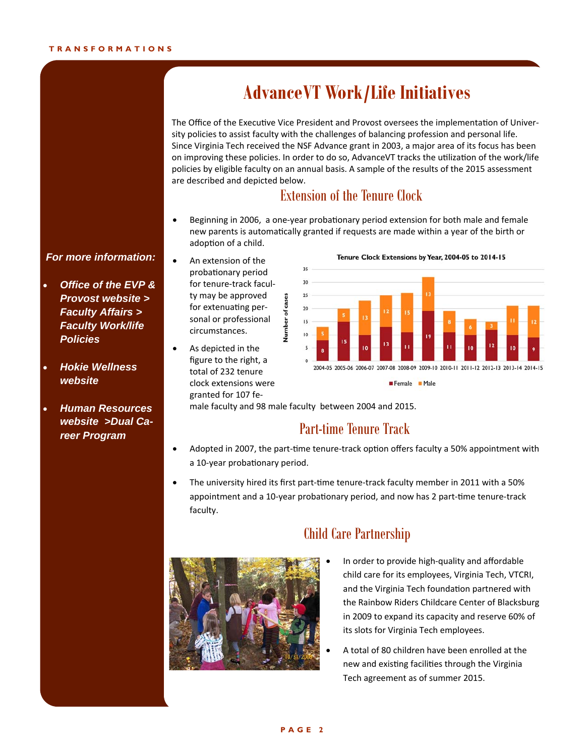# **AdvanceVT Work/Life Initiatives**

The Office of the Executive Vice President and Provost oversees the implementation of University policies to assist faculty with the challenges of balancing profession and personal life. Since Virginia Tech received the NSF Advance grant in 2003, a major area of its focus has been on improving these policies. In order to do so, AdvanceVT tracks the utilization of the work/life policies by eligible faculty on an annual basis. A sample of the results of the 2015 assessment are described and depicted below.

### Extension of the Tenure Clock

Beginning in 2006, a one-year probationary period extension for both male and female new parents is automatically granted if requests are made within a year of the birth or adoption of a child.

#### *For more information:*

- *Office of the EVP & Provost website > Faculty Affairs > Faculty Work/life Policies*
- *Hokie Wellness website*
- *Human Resources website >Dual Career Program*
- An extension of the probationary period for tenure-track faculty may be approved for extenuating personal or professional circumstances.

Number of cases

 As depicted in the figure to the right, a total of 232 tenure clock extensions were granted for 107 fe-



Tenure Clock Extensions by Year, 2004-05 to 2014-15

# male faculty and 98 male faculty between 2004 and 2015.

### Part-time Tenure Track

- Adopted in 2007, the part-time tenure-track option offers faculty a 50% appointment with a 10-year probationary period.
- The university hired its first part-time tenure-track faculty member in 2011 with a 50% appointment and a 10-year probationary period, and now has 2 part-time tenure-track faculty.



### Child Care Partnership

- In order to provide high-quality and affordable child care for its employees, Virginia Tech, VTCRI, and the Virginia Tech foundation partnered with the Rainbow Riders Childcare Center of Blacksburg in 2009 to expand its capacity and reserve 60% of its slots for Virginia Tech employees.
- A total of 80 children have been enrolled at the new and existing facilities through the Virginia Tech agreement as of summer 2015.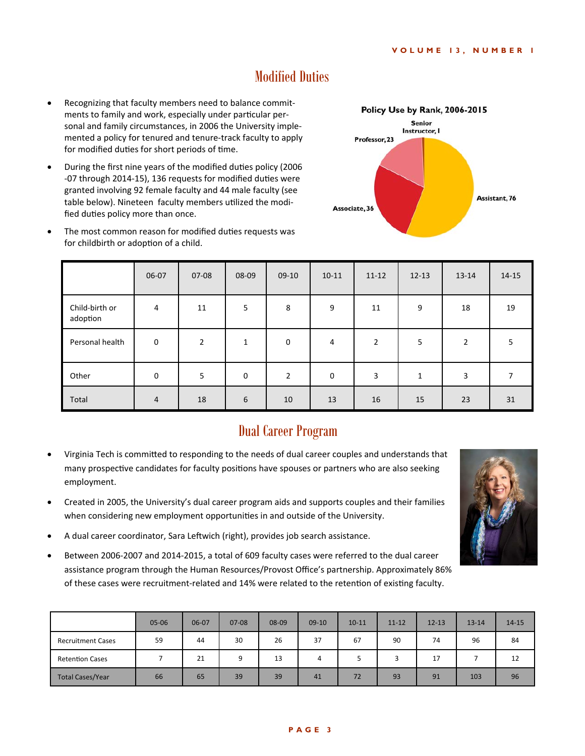### Modified Duties

- Recognizing that faculty members need to balance commitments to family and work, especially under particular personal and family circumstances, in 2006 the University implemented a policy for tenured and tenure-track faculty to apply for modified duties for short periods of time.
- During the first nine years of the modified duties policy (2006 -07 through 2014-15), 136 requests for modified duties were granted involving 92 female faculty and 44 male faculty (see table below). Nineteen faculty members utilized the modified duties policy more than once.



The most common reason for modified duties requests was for childbirth or adoption of a child.

|                            | 06-07       | 07-08          | 08-09 | $09-10$        | $10 - 11$ | $11 - 12$      | $12 - 13$ | 13-14 | $14 - 15$ |
|----------------------------|-------------|----------------|-------|----------------|-----------|----------------|-----------|-------|-----------|
| Child-birth or<br>adoption | 4           | 11             | 5     | 8              | 9         | 11             | 9         | 18    | 19        |
| Personal health            | $\mathbf 0$ | $\overline{2}$ | 1     | 0              | 4         | $\overline{2}$ | 5         | 2     | 5.        |
| Other                      | 0           | 5              | 0     | $\overline{2}$ | 0         | 3              | 1         | 3     | 7         |
| Total                      | 4           | 18             | 6     | 10             | 13        | 16             | 15        | 23    | 31        |

### Dual Career Program

- Virginia Tech is committed to responding to the needs of dual career couples and understands that many prospective candidates for faculty positions have spouses or partners who are also seeking employment.
- Created in 2005, the University's dual career program aids and supports couples and their families when considering new employment opportunities in and outside of the University.
- A dual career coordinator, Sara Leftwich (right), provides job search assistance.
- Between 2006-2007 and 2014-2015, a total of 609 faculty cases were referred to the dual career assistance program through the Human Resources/Provost Office's partnership. Approximately 86% of these cases were recruitment-related and 14% were related to the retention of existing faculty.

|                          | $05 - 06$ | 06-07 | $07 - 08$ | 08-09 | $09-10$ | $10 - 11$ | $11 - 12$ | $12 - 13$ | $13 - 14$ | $14 - 15$ |
|--------------------------|-----------|-------|-----------|-------|---------|-----------|-----------|-----------|-----------|-----------|
| <b>Recruitment Cases</b> | 59        | 44    | 30        | 26    | 37      | 67        | 90        | 74        | 96        | 84        |
| <b>Retention Cases</b>   |           | 21    | 9         | 13    | 4       |           |           | 17        |           | 12        |
| <b>Total Cases/Year</b>  | 66        | 65    | 39        | 39    | 41      | 72        | 93        | 91        | 103       | 96        |